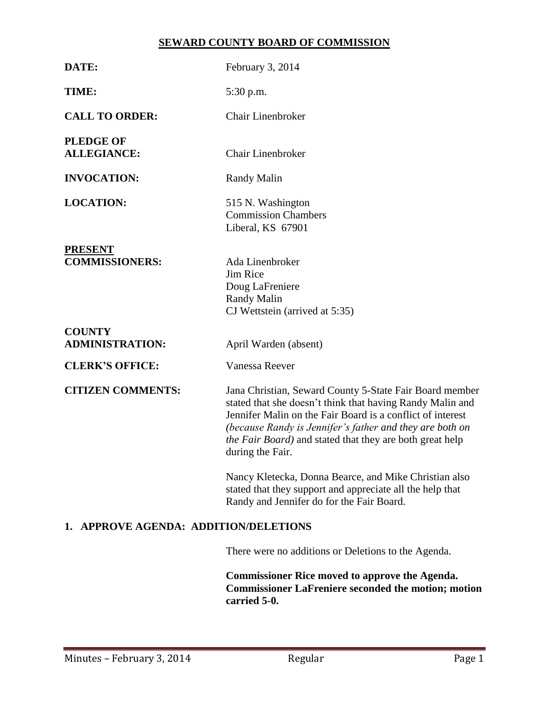# **SEWARD COUNTY BOARD OF COMMISSION**

| DATE:                                           | February 3, 2014                                                                                                                                                                                                                                                                                                                       |  |
|-------------------------------------------------|----------------------------------------------------------------------------------------------------------------------------------------------------------------------------------------------------------------------------------------------------------------------------------------------------------------------------------------|--|
| TIME:                                           | 5:30 p.m.                                                                                                                                                                                                                                                                                                                              |  |
| <b>CALL TO ORDER:</b>                           | <b>Chair Linenbroker</b>                                                                                                                                                                                                                                                                                                               |  |
| <b>PLEDGE OF</b><br><b>ALLEGIANCE:</b>          | <b>Chair Linenbroker</b>                                                                                                                                                                                                                                                                                                               |  |
| <b>INVOCATION:</b>                              | Randy Malin                                                                                                                                                                                                                                                                                                                            |  |
| <b>LOCATION:</b>                                | 515 N. Washington<br><b>Commission Chambers</b><br>Liberal, KS 67901                                                                                                                                                                                                                                                                   |  |
| <b>PRESENT</b><br><b>COMMISSIONERS:</b>         | Ada Linenbroker<br>Jim Rice<br>Doug LaFreniere<br><b>Randy Malin</b><br>CJ Wettstein (arrived at 5:35)                                                                                                                                                                                                                                 |  |
| <b>COUNTY</b><br><b>ADMINISTRATION:</b>         | April Warden (absent)                                                                                                                                                                                                                                                                                                                  |  |
| <b>CLERK'S OFFICE:</b>                          | <b>Vanessa Reever</b>                                                                                                                                                                                                                                                                                                                  |  |
| <b>CITIZEN COMMENTS:</b>                        | Jana Christian, Seward County 5-State Fair Board member<br>stated that she doesn't think that having Randy Malin and<br>Jennifer Malin on the Fair Board is a conflict of interest<br>(because Randy is Jennifer's father and they are both on<br><i>the Fair Board</i> ) and stated that they are both great help<br>during the Fair. |  |
|                                                 | Nancy Kletecka, Donna Bearce, and Mike Christian also<br>stated that they support and appreciate all the help that<br>Randy and Jennifer do for the Fair Board.                                                                                                                                                                        |  |
| <b>APPROVE AGENDA: ADDITION/DELETIONS</b><br>1. |                                                                                                                                                                                                                                                                                                                                        |  |
|                                                 | There were no additions or Deletions to the Agenda.                                                                                                                                                                                                                                                                                    |  |

**Commissioner Rice moved to approve the Agenda. Commissioner LaFreniere seconded the motion; motion carried 5-0.**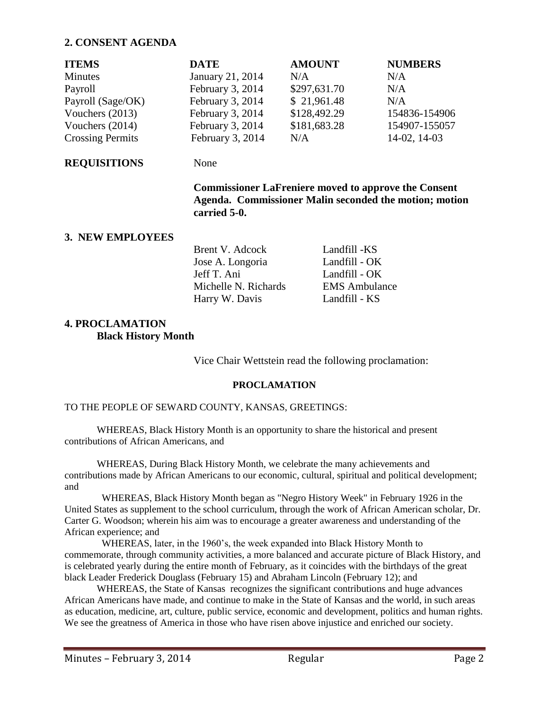### **2. CONSENT AGENDA**

| <b>ITEMS</b>            | <b>DATE</b>      | <b>AMOUNT</b> | <b>NUMBERS</b> |
|-------------------------|------------------|---------------|----------------|
| <b>Minutes</b>          | January 21, 2014 | N/A           | N/A            |
| Payroll                 | February 3, 2014 | \$297,631.70  | N/A            |
| Payroll (Sage/OK)       | February 3, 2014 | \$21,961.48   | N/A            |
| Vouchers $(2013)$       | February 3, 2014 | \$128,492.29  | 154836-154906  |
| Vouchers $(2014)$       | February 3, 2014 | \$181,683.28  | 154907-155057  |
| <b>Crossing Permits</b> | February 3, 2014 | N/A           | 14-02, 14-03   |

## **REQUISITIONS** None

**Commissioner LaFreniere moved to approve the Consent Agenda. Commissioner Malin seconded the motion; motion carried 5-0.**

# **3. NEW EMPLOYEES**

| Landfill -KS         |
|----------------------|
| Landfill - OK        |
| Landfill - OK        |
| <b>EMS</b> Ambulance |
| Landfill - KS        |
|                      |

## **4. PROCLAMATION Black History Month**

Vice Chair Wettstein read the following proclamation:

### **PROCLAMATION**

#### TO THE PEOPLE OF SEWARD COUNTY, KANSAS, GREETINGS:

WHEREAS, Black History Month is an opportunity to share the historical and present contributions of African Americans, and

WHEREAS, During Black History Month, we celebrate the many achievements and contributions made by African Americans to our economic, cultural, spiritual and political development; and

WHEREAS, Black History Month began as "Negro History Week" in February 1926 in the United States as supplement to the school curriculum, through the work of African American scholar, Dr. Carter G. Woodson; wherein his aim was to encourage a greater awareness and understanding of the African experience; and

WHEREAS, later, in the 1960's, the week expanded into Black History Month to commemorate, through community activities, a more balanced and accurate picture of Black History, and is celebrated yearly during the entire month of February, as it coincides with the birthdays of the great black Leader Frederick Douglass (February 15) and Abraham Lincoln (February 12); and

WHEREAS, the State of Kansas recognizes the significant contributions and huge advances African Americans have made, and continue to make in the State of Kansas and the world, in such areas as education, medicine, art, culture, public service, economic and development, politics and human rights. We see the greatness of America in those who have risen above injustice and enriched our society.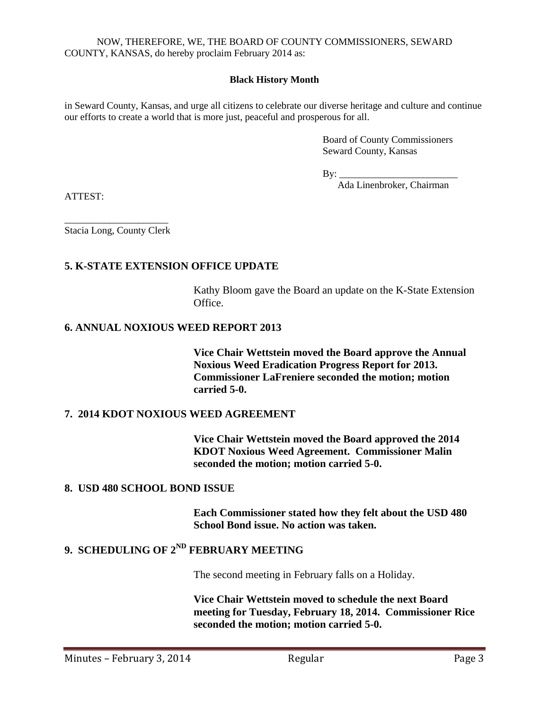NOW, THEREFORE, WE, THE BOARD OF COUNTY COMMISSIONERS, SEWARD COUNTY, KANSAS, do hereby proclaim February 2014 as:

### **Black History Month**

in Seward County, Kansas, and urge all citizens to celebrate our diverse heritage and culture and continue our efforts to create a world that is more just, peaceful and prosperous for all.

> Board of County Commissioners Seward County, Kansas

By:  $\_\_$ 

Ada Linenbroker, Chairman

ATTEST:

\_\_\_\_\_\_\_\_\_\_\_\_\_\_\_\_\_\_\_\_\_ Stacia Long, County Clerk

### **5. K-STATE EXTENSION OFFICE UPDATE**

Kathy Bloom gave the Board an update on the K-State Extension Office.

### **6. ANNUAL NOXIOUS WEED REPORT 2013**

**Vice Chair Wettstein moved the Board approve the Annual Noxious Weed Eradication Progress Report for 2013. Commissioner LaFreniere seconded the motion; motion carried 5-0.**

### **7. 2014 KDOT NOXIOUS WEED AGREEMENT**

**Vice Chair Wettstein moved the Board approved the 2014 KDOT Noxious Weed Agreement. Commissioner Malin seconded the motion; motion carried 5-0.**

### **8. USD 480 SCHOOL BOND ISSUE**

**Each Commissioner stated how they felt about the USD 480 School Bond issue. No action was taken.**

# **9. SCHEDULING OF 2ND FEBRUARY MEETING**

The second meeting in February falls on a Holiday.

**Vice Chair Wettstein moved to schedule the next Board meeting for Tuesday, February 18, 2014. Commissioner Rice seconded the motion; motion carried 5-0.**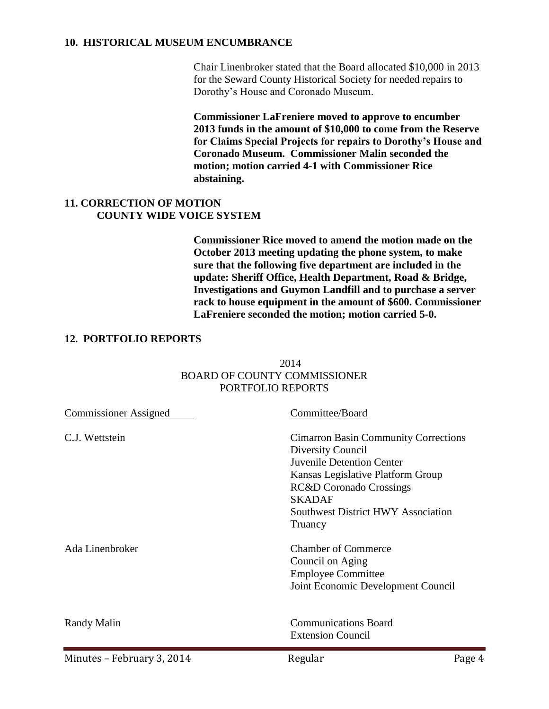### **10. HISTORICAL MUSEUM ENCUMBRANCE**

Chair Linenbroker stated that the Board allocated \$10,000 in 2013 for the Seward County Historical Society for needed repairs to Dorothy's House and Coronado Museum.

**Commissioner LaFreniere moved to approve to encumber 2013 funds in the amount of \$10,000 to come from the Reserve for Claims Special Projects for repairs to Dorothy's House and Coronado Museum. Commissioner Malin seconded the motion; motion carried 4-1 with Commissioner Rice abstaining.**

## **11. CORRECTION OF MOTION COUNTY WIDE VOICE SYSTEM**

**Commissioner Rice moved to amend the motion made on the October 2013 meeting updating the phone system, to make sure that the following five department are included in the update: Sheriff Office, Health Department, Road & Bridge, Investigations and Guymon Landfill and to purchase a server rack to house equipment in the amount of \$600. Commissioner LaFreniere seconded the motion; motion carried 5-0.**

### **12. PORTFOLIO REPORTS**

# 2014 BOARD OF COUNTY COMMISSIONER PORTFOLIO REPORTS

| <b>Commissioner Assigned</b> | Committee/Board                                                                                                                                                                                                                                   |  |
|------------------------------|---------------------------------------------------------------------------------------------------------------------------------------------------------------------------------------------------------------------------------------------------|--|
| C.J. Wettstein               | <b>Cimarron Basin Community Corrections</b><br>Diversity Council<br>Juvenile Detention Center<br>Kansas Legislative Platform Group<br><b>RC&amp;D</b> Coronado Crossings<br><b>SKADAF</b><br><b>Southwest District HWY Association</b><br>Truancy |  |
| Ada Linenbroker              | <b>Chamber of Commerce</b><br>Council on Aging<br><b>Employee Committee</b><br>Joint Economic Development Council                                                                                                                                 |  |
| Randy Malin                  | <b>Communications Board</b><br><b>Extension Council</b>                                                                                                                                                                                           |  |
| Minutes – February 3, 2014   | Regular<br>Page 4                                                                                                                                                                                                                                 |  |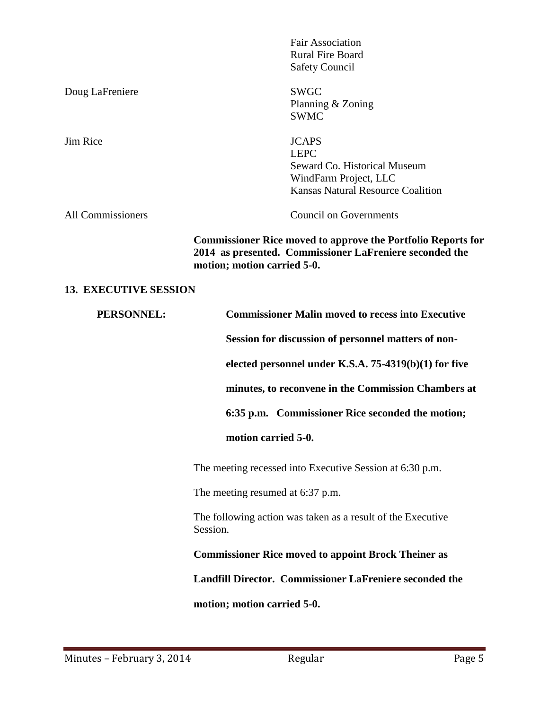|                          | <b>Fair Association</b>                  |
|--------------------------|------------------------------------------|
|                          | <b>Rural Fire Board</b>                  |
|                          | <b>Safety Council</b>                    |
| Doug LaFreniere          | <b>SWGC</b>                              |
|                          | Planning & Zoning                        |
|                          | <b>SWMC</b>                              |
| Jim Rice                 | <b>JCAPS</b>                             |
|                          | <b>LEPC</b>                              |
|                          | Seward Co. Historical Museum             |
|                          | WindFarm Project, LLC                    |
|                          | <b>Kansas Natural Resource Coalition</b> |
| <b>All Commissioners</b> | <b>Council on Governments</b>            |
|                          |                                          |

**Commissioner Rice moved to approve the Portfolio Reports for 2014 as presented. Commissioner LaFreniere seconded the motion; motion carried 5-0.** 

# **13. EXECUTIVE SESSION**

| PERSONNEL: | <b>Commissioner Malin moved to recess into Executive</b>                |
|------------|-------------------------------------------------------------------------|
|            | Session for discussion of personnel matters of non-                     |
|            | elected personnel under K.S.A. $75-4319(b)(1)$ for five                 |
|            | minutes, to reconvene in the Commission Chambers at                     |
|            | 6:35 p.m. Commissioner Rice seconded the motion;                        |
|            | motion carried 5-0.                                                     |
|            | The meeting recessed into Executive Session at 6:30 p.m.                |
|            | The meeting resumed at 6:37 p.m.                                        |
|            | The following action was taken as a result of the Executive<br>Session. |
|            | <b>Commissioner Rice moved to appoint Brock Theiner as</b>              |
|            | Landfill Director. Commissioner LaFreniere seconded the                 |
|            | motion; motion carried 5-0.                                             |